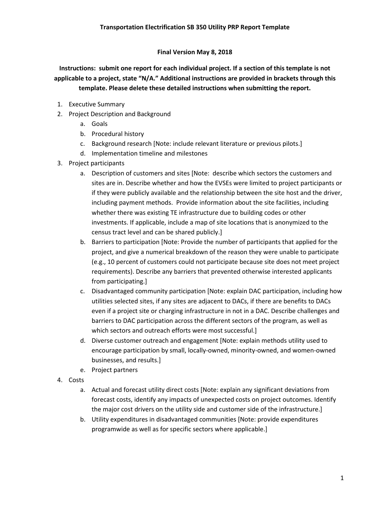## **Final Version May 8, 2018**

**Instructions: submit one report for each individual project. If a section of this template is not applicable to a project, state "N/A." Additional instructions are provided in brackets through this template. Please delete these detailed instructions when submitting the report.**

- 1. Executive Summary
- 2. Project Description and Background
	- a. Goals
	- b. Procedural history
	- c. Background research [Note: include relevant literature or previous pilots.]
	- d. Implementation timeline and milestones
- 3. Project participants
	- a. Description of customers and sites [Note: describe which sectors the customers and sites are in. Describe whether and how the EVSEs were limited to project participants or if they were publicly available and the relationship between the site host and the driver, including payment methods. Provide information about the site facilities, including whether there was existing TE infrastructure due to building codes or other investments. If applicable, include a map of site locations that is anonymized to the census tract level and can be shared publicly.]
	- b. Barriers to participation [Note: Provide the number of participants that applied for the project, and give a numerical breakdown of the reason they were unable to participate (e.g., 10 percent of customers could not participate because site does not meet project requirements). Describe any barriers that prevented otherwise interested applicants from participating.]
	- c. Disadvantaged community participation [Note: explain DAC participation, including how utilities selected sites, if any sites are adjacent to DACs, if there are benefits to DACs even if a project site or charging infrastructure in not in a DAC. Describe challenges and barriers to DAC participation across the different sectors of the program, as well as which sectors and outreach efforts were most successful.]
	- d. Diverse customer outreach and engagement [Note: explain methods utility used to encourage participation by small, locally-owned, minority-owned, and women-owned businesses, and results.]
	- e. Project partners
- 4. Costs
	- a. Actual and forecast utility direct costs [Note: explain any significant deviations from forecast costs, identify any impacts of unexpected costs on project outcomes. Identify the major cost drivers on the utility side and customer side of the infrastructure.]
	- b. Utility expenditures in disadvantaged communities [Note: provide expenditures programwide as well as for specific sectors where applicable.]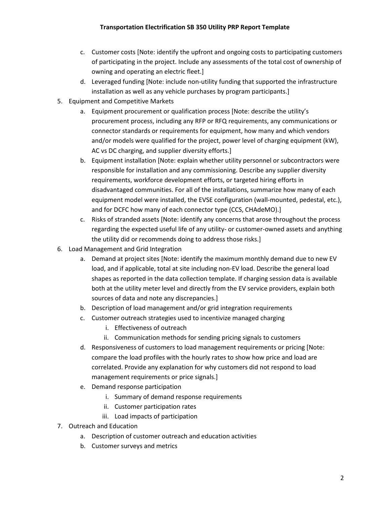- c. Customer costs [Note: identify the upfront and ongoing costs to participating customers of participating in the project. Include any assessments of the total cost of ownership of owning and operating an electric fleet.]
- d. Leveraged funding [Note: include non-utility funding that supported the infrastructure installation as well as any vehicle purchases by program participants.]
- 5. Equipment and Competitive Markets
	- a. Equipment procurement or qualification process [Note: describe the utility's procurement process, including any RFP or RFQ requirements, any communications or connector standards or requirements for equipment, how many and which vendors and/or models were qualified for the project, power level of charging equipment (kW), AC vs DC charging, and supplier diversity efforts.]
	- b. Equipment installation [Note: explain whether utility personnel or subcontractors were responsible for installation and any commissioning. Describe any supplier diversity requirements, workforce development efforts, or targeted hiring efforts in disadvantaged communities. For all of the installations, summarize how many of each equipment model were installed, the EVSE configuration (wall-mounted, pedestal, etc.), and for DCFC how many of each connector type (CCS, CHAdeMO).]
	- c. Risks of stranded assets [Note: identify any concerns that arose throughout the process regarding the expected useful life of any utility- or customer-owned assets and anything the utility did or recommends doing to address those risks.]
- 6. Load Management and Grid Integration
	- a. Demand at project sites [Note: identify the maximum monthly demand due to new EV load, and if applicable, total at site including non-EV load. Describe the general load shapes as reported in the data collection template. If charging session data is available both at the utility meter level and directly from the EV service providers, explain both sources of data and note any discrepancies.]
	- b. Description of load management and/or grid integration requirements
	- c. Customer outreach strategies used to incentivize managed charging
		- i. Effectiveness of outreach
		- ii. Communication methods for sending pricing signals to customers
	- d. Responsiveness of customers to load management requirements or pricing [Note: compare the load profiles with the hourly rates to show how price and load are correlated. Provide any explanation for why customers did not respond to load management requirements or price signals.]
	- e. Demand response participation
		- i. Summary of demand response requirements
		- ii. Customer participation rates
		- iii. Load impacts of participation
- 7. Outreach and Education
	- a. Description of customer outreach and education activities
	- b. Customer surveys and metrics